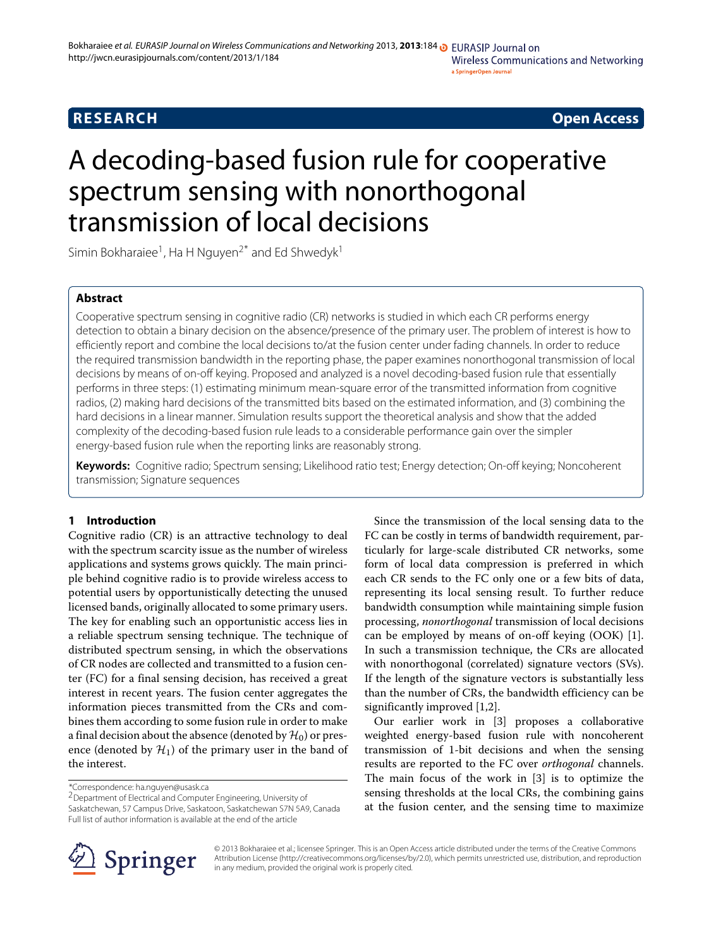## **RESEARCH Open Access**

# A decoding-based fusion rule for cooperative spectrum sensing with nonorthogonal transmission of local decisions

Simin Bokharaiee<sup>1</sup>, Ha H Nguyen<sup>2\*</sup> and Ed Shwedyk<sup>1</sup>

## **Abstract**

Cooperative spectrum sensing in cognitive radio (CR) networks is studied in which each CR performs energy detection to obtain a binary decision on the absence/presence of the primary user. The problem of interest is how to efficiently report and combine the local decisions to/at the fusion center under fading channels. In order to reduce the required transmission bandwidth in the reporting phase, the paper examines nonorthogonal transmission of local decisions by means of on-off keying. Proposed and analyzed is a novel decoding-based fusion rule that essentially performs in three steps: (1) estimating minimum mean-square error of the transmitted information from cognitive radios, (2) making hard decisions of the transmitted bits based on the estimated information, and (3) combining the hard decisions in a linear manner. Simulation results support the theoretical analysis and show that the added complexity of the decoding-based fusion rule leads to a considerable performance gain over the simpler energy-based fusion rule when the reporting links are reasonably strong.

**Keywords:** Cognitive radio; Spectrum sensing; Likelihood ratio test; Energy detection; On-off keying; Noncoherent transmission; Signature sequences

## **1 Introduction**

Cognitive radio (CR) is an attractive technology to deal with the spectrum scarcity issue as the number of wireless applications and systems grows quickly. The main principle behind cognitive radio is to provide wireless access to potential users by opportunistically detecting the unused licensed bands, originally allocated to some primary users. The key for enabling such an opportunistic access lies in a reliable spectrum sensing technique. The technique of distributed spectrum sensing, in which the observations of CR nodes are collected and transmitted to a fusion center (FC) for a final sensing decision, has received a great interest in recent years. The fusion center aggregates the information pieces transmitted from the CRs and combines them according to some fusion rule in order to make a final decision about the absence (denoted by  $\mathcal{H}_0$ ) or presence (denoted by  $H_1$ ) of the primary user in the band of the interest.

\*Correspondence: ha.nguyen@usask.ca

2Department of Electrical and Computer Engineering, University of Saskatchewan, 57 Campus Drive, Saskatoon, Saskatchewan S7N 5A9, Canada Full list of author information is available at the end of the article

Since the transmission of the local sensing data to the FC can be costly in terms of bandwidth requirement, particularly for large-scale distributed CR networks, some form of local data compression is preferred in which each CR sends to the FC only one or a few bits of data, representing its local sensing result. To further reduce bandwidth consumption while maintaining simple fusion processing, *nonorthogonal* transmission of local decisions can be employed by means of on-off keying (OOK) [\[1\]](#page-9-0). In such a transmission technique, the CRs are allocated with nonorthogonal (correlated) signature vectors (SVs). If the length of the signature vectors is substantially less than the number of CRs, the bandwidth efficiency can be significantly improved [\[1,](#page-9-0)[2\]](#page-9-1).

Our earlier work in [\[3\]](#page-9-2) proposes a collaborative weighted energy-based fusion rule with noncoherent transmission of 1-bit decisions and when the sensing results are reported to the FC over *orthogonal* channels. The main focus of the work in [\[3\]](#page-9-2) is to optimize the sensing thresholds at the local CRs, the combining gains at the fusion center, and the sensing time to maximize



© 2013 Bokharaiee et al.; licensee Springer. This is an Open Access article distributed under the terms of the Creative Commons Attribution License (http://creativecommons.org/licenses/by/2.0), which permits unrestricted use, distribution, and reproduction in any medium, provided the original work is properly cited.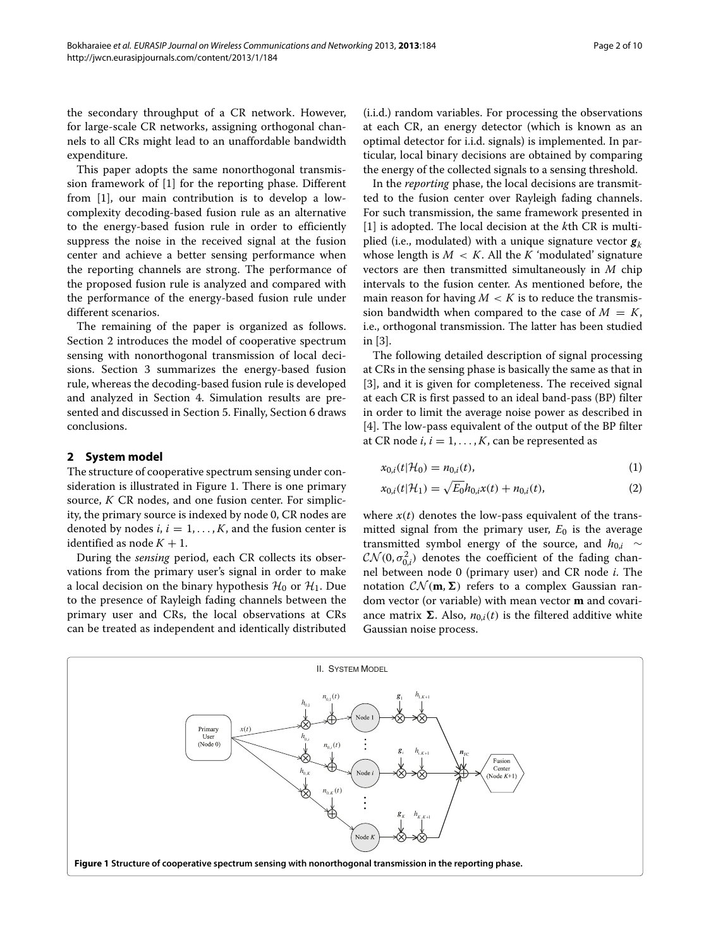the secondary throughput of a CR network. However, for large-scale CR networks, assigning orthogonal channels to all CRs might lead to an unaffordable bandwidth expenditure.

This paper adopts the same nonorthogonal transmission framework of [\[1\]](#page-9-0) for the reporting phase. Different from [\[1\]](#page-9-0), our main contribution is to develop a lowcomplexity decoding-based fusion rule as an alternative to the energy-based fusion rule in order to efficiently suppress the noise in the received signal at the fusion center and achieve a better sensing performance when the reporting channels are strong. The performance of the proposed fusion rule is analyzed and compared with the performance of the energy-based fusion rule under different scenarios.

The remaining of the paper is organized as follows. Section [2](#page-1-0) introduces the model of cooperative spectrum sensing with nonorthogonal transmission of local decisions. Section [3](#page-3-0) summarizes the energy-based fusion rule, whereas the decoding-based fusion rule is developed and analyzed in Section [4.](#page-4-0) Simulation results are presented and discussed in Section [5.](#page-6-0) Finally, Section [6](#page-8-0) draws conclusions.

## <span id="page-1-0"></span>**2 System model**

The structure of cooperative spectrum sensing under consideration is illustrated in Figure [1.](#page-1-1) There is one primary source, *K* CR nodes, and one fusion center. For simplicity, the primary source is indexed by node 0, CR nodes are denoted by nodes  $i, i = 1, \ldots, K$ , and the fusion center is identified as node  $K + 1$ .

During the *sensing* period, each CR collects its observations from the primary user's signal in order to make a local decision on the binary hypothesis  $\mathcal{H}_0$  or  $\mathcal{H}_1$ . Due to the presence of Rayleigh fading channels between the primary user and CRs, the local observations at CRs can be treated as independent and identically distributed

(i.i.d.) random variables. For processing the observations at each CR, an energy detector (which is known as an optimal detector for i.i.d. signals) is implemented. In particular, local binary decisions are obtained by comparing the energy of the collected signals to a sensing threshold.

In the *reporting* phase, the local decisions are transmitted to the fusion center over Rayleigh fading channels. For such transmission, the same framework presented in [\[1\]](#page-9-0) is adopted. The local decision at the *k*th CR is multiplied (i.e., modulated) with a unique signature vector *g<sup>k</sup>* whose length is  $M < K$ . All the *K* 'modulated' signature vectors are then transmitted simultaneously in *M* chip intervals to the fusion center. As mentioned before, the main reason for having  $M < K$  is to reduce the transmission bandwidth when compared to the case of  $M = K$ , i.e., orthogonal transmission. The latter has been studied in [\[3\]](#page-9-2).

The following detailed description of signal processing at CRs in the sensing phase is basically the same as that in [\[3\]](#page-9-2), and it is given for completeness. The received signal at each CR is first passed to an ideal band-pass (BP) filter in order to limit the average noise power as described in [\[4\]](#page-9-3). The low-pass equivalent of the output of the BP filter at CR node  $i, i = 1, \ldots, K$ , can be represented as

$$
x_{0,i}(t|\mathcal{H}_0) = n_{0,i}(t),
$$
\n(1)

<span id="page-1-3"></span><span id="page-1-2"></span>
$$
x_{0,i}(t|\mathcal{H}_1) = \sqrt{E_0}h_{0,i}x(t) + n_{0,i}(t),
$$
\n(2)

where  $x(t)$  denotes the low-pass equivalent of the transmitted signal from the primary user,  $E_0$  is the average transmitted symbol energy of the source, and  $h_{0,i} \sim$  $\mathcal{CN}(0, \sigma_{0,i}^2)$  denotes the coefficient of the fading channel between node 0 (primary user) and CR node *i*. The notation  $CN(m, \Sigma)$  refers to a complex Gaussian random vector (or variable) with mean vector **m** and covariance matrix  $\Sigma$ . Also,  $n_{0,i}(t)$  is the filtered additive white Gaussian noise process.

<span id="page-1-1"></span>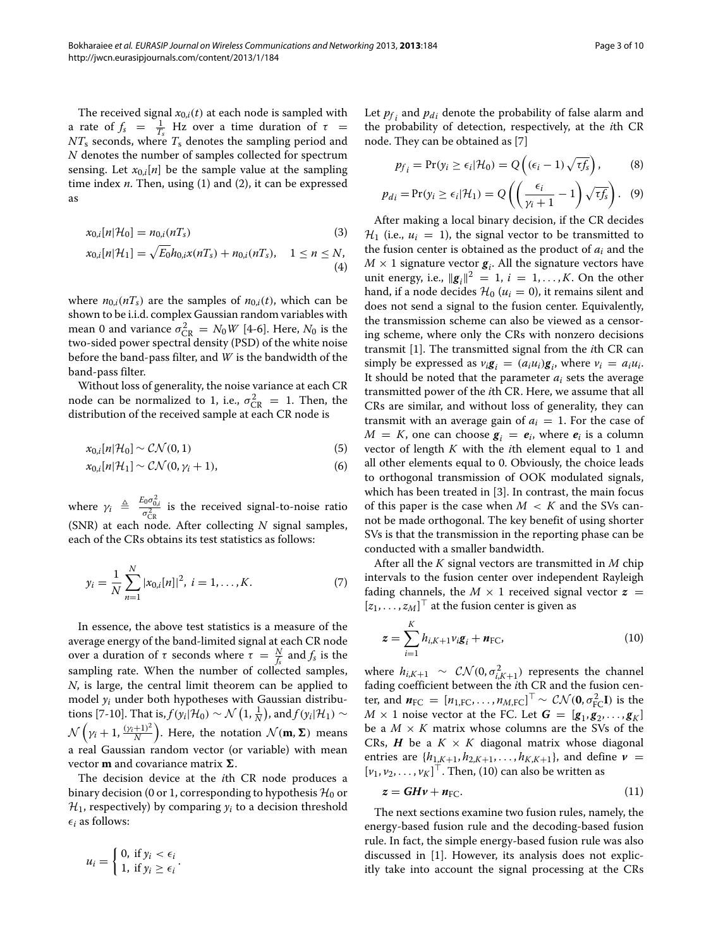The received signal  $x_{0,i}(t)$  at each node is sampled with a rate of  $f_s = \frac{1}{T_s}$  Hz over a time duration of  $\tau =$ *NT*<sup>s</sup> seconds, where *T*<sup>s</sup> denotes the sampling period and *N* denotes the number of samples collected for spectrum sensing. Let  $x_{0,i}[n]$  be the sample value at the sampling time index *n*. Then, using [\(1\)](#page-1-2) and [\(2\)](#page-1-3), it can be expressed as

$$
x_{0,i}[n|\mathcal{H}_0] = n_{0,i}(nT_s) \tag{3}
$$

$$
x_{0,i}[n|\mathcal{H}_1] = \sqrt{E_0}h_{0,i}x(nT_s) + n_{0,i}(nT_s), \quad 1 \le n \le N,
$$
\n(4)

where  $n_{0,i}$  *(nT<sub>s</sub>*) are the samples of  $n_{0,i}(t)$ , which can be shown to be i.i.d. complex Gaussian random variables with mean 0 and variance  $\sigma_{CR}^2 = N_0 W$  [\[4-](#page-9-3)[6\]](#page-9-4). Here,  $N_0$  is the two-sided power spectral density (PSD) of the white noise before the band-pass filter, and *W* is the bandwidth of the band-pass filter.

Without loss of generality, the noise variance at each CR node can be normalized to 1, i.e.,  $\sigma_{\rm CR}^2 = 1$ . Then, the distribution of the received sample at each CR node is

$$
x_{0,i}[n|\mathcal{H}_0] \sim \mathcal{CN}(0,1) \tag{5}
$$

$$
x_{0,i}[n|\mathcal{H}_1] \sim \mathcal{CN}(0,\gamma_i+1),\tag{6}
$$

where  $\gamma_i \triangleq \frac{E_0 \sigma_{0,i}^2}{\sigma_{CR}^2}$  is the received signal-to-noise ratio (SNR) at each node. After collecting *N* signal samples, each of the CRs obtains its test statistics as follows:

$$
y_i = \frac{1}{N} \sum_{n=1}^{N} |x_{0,i}[n]|^2, i = 1, \dots, K.
$$
 (7)

In essence, the above test statistics is a measure of the average energy of the band-limited signal at each CR node over a duration of *τ* seconds where  $τ = \frac{N}{f_s}$  and  $f_s$  is the sampling rate. When the number of collected samples, *N*, is large, the central limit theorem can be applied to model  $y_i$  under both hypotheses with Gaussian distribu-tions [\[7](#page-9-5)[-10\]](#page-9-6). That is,  $f(y_i|\mathcal{H}_0) \sim \mathcal{N}\left(1, \frac{1}{N}\right)$ , and  $f(y_i|\mathcal{H}_1) \sim$ *N*  $(\gamma_i + 1, \frac{(\gamma_i+1)^2}{N})$ . Here, the notation  $\mathcal{N}(\mathbf{m}, \mathbf{\Sigma})$  means a real Gaussian random vector (or variable) with mean vector **m** and covariance matrix **Σ**.

The decision device at the *i*th CR node produces a binary decision (0 or 1, corresponding to hypothesis  $\mathcal{H}_0$  or  $\mathcal{H}_1$ , respectively) by comparing  $y_i$  to a decision threshold  $\epsilon_i$  as follows:

$$
u_i = \begin{cases} 0, \text{ if } y_i < \epsilon_i \\ 1, \text{ if } y_i \geq \epsilon_i \end{cases}.
$$

Let  $p_f$  and  $p_d$  denote the probability of false alarm and the probability of detection, respectively, at the *i*th CR node. They can be obtained as [\[7\]](#page-9-5)

$$
p_{f_i} = \Pr(y_i \ge \epsilon_i | \mathcal{H}_0) = Q\left((\epsilon_i - 1)\sqrt{\tau f_s}\right),\tag{8}
$$

$$
p_{d_i} = \Pr(y_i \ge \epsilon_i | \mathcal{H}_1) = Q\left(\left(\frac{\epsilon_i}{\gamma_i + 1} - 1\right) \sqrt{\tau f_s}\right). \tag{9}
$$

After making a local binary decision, if the CR decides  $\mathcal{H}_1$  (i.e.,  $u_i = 1$ ), the signal vector to be transmitted to the fusion center is obtained as the product of *ai* and the  $M \times 1$  signature vector  $g_i$ . All the signature vectors have unit energy, i.e.,  $\|\mathbf{g}_i\|^2 = 1$ ,  $i = 1, ..., K$ . On the other hand, if a node decides  $\mathcal{H}_0$  ( $u_i = 0$ ), it remains silent and does not send a signal to the fusion center. Equivalently, the transmission scheme can also be viewed as a censoring scheme, where only the CRs with nonzero decisions transmit [\[1\]](#page-9-0). The transmitted signal from the *i*th CR can simply be expressed as  $v_i \mathbf{g}_i = (a_i u_i) \mathbf{g}_i$ , where  $v_i = a_i u_i$ . It should be noted that the parameter *ai* sets the average transmitted power of the *i*th CR. Here, we assume that all CRs are similar, and without loss of generality, they can transmit with an average gain of  $a_i = 1$ . For the case of  $M = K$ , one can choose  $g_i = e_i$ , where  $e_i$  is a column vector of length *K* with the *i*th element equal to 1 and all other elements equal to 0. Obviously, the choice leads to orthogonal transmission of OOK modulated signals, which has been treated in [\[3\]](#page-9-2). In contrast, the main focus of this paper is the case when  $M < K$  and the SVs cannot be made orthogonal. The key benefit of using shorter SVs is that the transmission in the reporting phase can be conducted with a smaller bandwidth.

After all the *K* signal vectors are transmitted in *M* chip intervals to the fusion center over independent Rayleigh fading channels, the  $M \times 1$  received signal vector  $z =$  $[z_1, \ldots, z_M]$ <sup> $\perp$ </sup> at the fusion center is given as

<span id="page-2-0"></span>
$$
\mathbf{z} = \sum_{i=1}^{K} h_{i,K+1} v_i \mathbf{g}_i + \mathbf{n}_{\text{FC}},
$$
\n(10)

where  $h_{i,K+1} \sim \mathcal{CN}(0, \sigma_{i,K+1}^2)$  represents the channel fading coefficient between the *i*th CR and the fusion center, and  $n_{\text{FC}} = [n_{1,\text{FC}}, \dots, n_{M,\text{FC}}]^\top \sim \mathcal{CN}(\mathbf{0}, \sigma_{\text{FC}}^2 \mathbf{I})$  is the  $M \times 1$  noise vector at the FC. Let  $G = [g_1, g_2, \ldots, g_K]$ be a  $M \times K$  matrix whose columns are the SVs of the CRs, *H* be a  $K \times K$  diagonal matrix whose diagonal entries are  $\{h_{1,K+1}, h_{2,K+1}, \ldots, h_{K,K+1}\}$ , and define  $\nu =$  $[v_1, v_2, \ldots, v_K]$ <sup> $\perp$ </sup>. Then, [\(10\)](#page-2-0) can also be written as

<span id="page-2-1"></span>
$$
z = GHv + n_{\text{FC}}.\tag{11}
$$

The next sections examine two fusion rules, namely, the energy-based fusion rule and the decoding-based fusion rule. In fact, the simple energy-based fusion rule was also discussed in [\[1\]](#page-9-0). However, its analysis does not explicitly take into account the signal processing at the CRs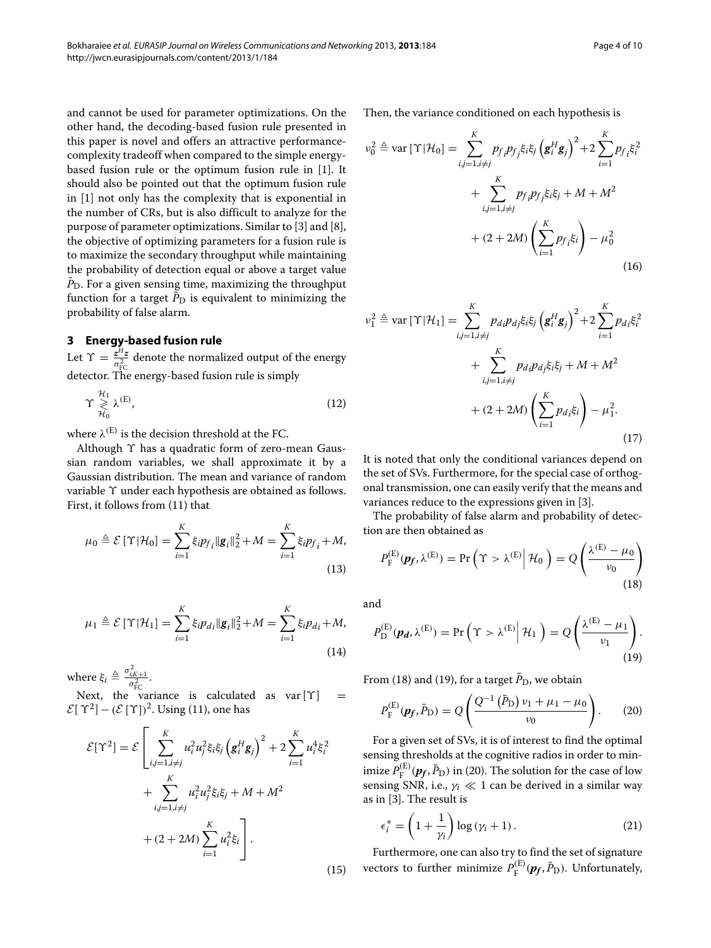and cannot be used for parameter optimizations. On the other hand, the decoding-based fusion rule presented in this paper is novel and offers an attractive performancecomplexity tradeoff when compared to the simple energybased fusion rule or the optimum fusion rule in [\[1\]](#page-9-0). It should also be pointed out that the optimum fusion rule in [\[1\]](#page-9-0) not only has the complexity that is exponential in the number of CRs, but is also difficult to analyze for the purpose of parameter optimizations. Similar to [\[3\]](#page-9-2) and [\[8\]](#page-9-7), the objective of optimizing parameters for a fusion rule is to maximize the secondary throughput while maintaining the probability of detection equal or above a target value  $\bar{P}_{\text{D}}$ . For a given sensing time, maximizing the throughput function for a target  $\bar{P}_{\text{D}}$  is equivalent to minimizing the probability of false alarm.

## <span id="page-3-0"></span>**3 Energy-based fusion rule**

Let  $\Upsilon = \frac{z^H z}{\sigma_{\rm FC}^2}$  denote the normalized output of the energy detector. The energy-based fusion rule is simply

$$
\Upsilon \underset{\mathcal{H}_0}{\geqslant} \lambda^{(\mathrm{E})},\tag{12}
$$

where  $\lambda^{(E)}$  is the decision threshold at the FC.

Although *ϒ* has a quadratic form of zero-mean Gaussian random variables, we shall approximate it by a Gaussian distribution. The mean and variance of random variable *ϒ* under each hypothesis are obtained as follows. First, it follows from [\(11\)](#page-2-1) that

$$
\mu_0 \triangleq \mathcal{E} \left[ \Upsilon | \mathcal{H}_0 \right] = \sum_{i=1}^K \xi_i p_{f_i} \| \mathbf{g}_i \|_2^2 + M = \sum_{i=1}^K \xi_i p_{f_i} + M,
$$
\n(13)

$$
\mu_1 \triangleq \mathcal{E}\left[\Upsilon|\mathcal{H}_1\right] = \sum_{i=1}^K \xi_i p_{di} \|g_i\|_2^2 + M = \sum_{i=1}^K \xi_i p_{di} + M,
$$
\n(14)

where  $\xi_i \triangleq \frac{\sigma_{i,K+1}^2}{\sigma_{\text{FC}}^2}$ .

Next, the variance is calculated as var[ $\Upsilon$ ] =  $\mathcal{E}[\Upsilon^2] - (\mathcal{E}[\Upsilon])^2$ . Using [\(11\)](#page-2-1), one has

$$
\mathcal{E}[\Upsilon^2] = \mathcal{E} \left[ \sum_{i,j=1, i \neq j}^{K} u_i^2 u_j^2 \xi_i \xi_j \left( \mathbf{g}_i^H \mathbf{g}_j \right)^2 + 2 \sum_{i=1}^{K} u_i^4 \xi_i^2 + \sum_{i,j=1, i \neq j}^{K} u_i^2 u_j^2 \xi_i \xi_j + M + M^2 + (2 + 2M) \sum_{i=1}^{K} u_i^2 \xi_i \right].
$$
\n(15)

<span id="page-3-4"></span>Then, the variance conditioned on each hypothesis is

$$
\nu_0^2 \triangleq \text{var} \left[ \Upsilon | \mathcal{H}_0 \right] = \sum_{i,j=1, i \neq j}^{K} p_{f_i} p_{f_j} \xi_i \xi_j \left( \mathbf{g}_i^H \mathbf{g}_j \right)^2 + 2 \sum_{i=1}^{K} p_{f_i} \xi_i^2 + \sum_{i,j=1, i \neq j}^{K} p_{f_i} p_{f_j} \xi_i \xi_j + M + M^2 + (2 + 2M) \left( \sum_{i=1}^{K} p_{f_i} \xi_i \right) - \mu_0^2
$$
\n(16)

<span id="page-3-5"></span>
$$
\nu_1^2 \triangleq \text{var} \left[ \Upsilon | \mathcal{H}_1 \right] = \sum_{i,j=1, i \neq j}^{K} p_{di} p_{dj} \xi_i \xi_j \left( \mathbf{g}_i^H \mathbf{g}_j \right)^2 + 2 \sum_{i=1}^{K} p_{di} \xi_i^2 + \sum_{i,j=1, i \neq j}^{K} p_{di} p_{dj} \xi_i \xi_j + M + M^2 + (2 + 2M) \left( \sum_{i=1}^{K} p_{di} \xi_i \right) - \mu_1^2.
$$
\n(17)

It is noted that only the conditional variances depend on the set of SVs. Furthermore, for the special case of orthogonal transmission, one can easily verify that the means and variances reduce to the expressions given in [\[3\]](#page-9-2).

The probability of false alarm and probability of detection are then obtained as

<span id="page-3-1"></span>
$$
P_{\mathrm{F}}^{(\mathrm{E})}(\mathbf{p}_f, \lambda^{(\mathrm{E})}) = \Pr\left(\Upsilon > \lambda^{(\mathrm{E})} \middle| \mathcal{H}_0\right) = Q\left(\frac{\lambda^{(\mathrm{E})} - \mu_0}{\nu_0}\right)
$$
\n(18)

and

$$
P_{\mathcal{D}}^{(\mathcal{E})}(\boldsymbol{p_d}, \lambda^{(\mathcal{E})}) = \Pr\left(\Upsilon > \lambda^{(\mathcal{E})} \middle| \mathcal{H}_1\right) = Q\left(\frac{\lambda^{(\mathcal{E})} - \mu_1}{\nu_1}\right).
$$
\n(19)

From [\(18\)](#page-3-1) and [\(19\)](#page-3-2), for a target  $\bar{P}_{\text{D}}$ , we obtain

<span id="page-3-3"></span><span id="page-3-2"></span>
$$
P_{\rm F}^{(\rm E)}(\mathbf{p}_f, \bar{P}_{\rm D}) = Q\left(\frac{Q^{-1}(\bar{P}_{\rm D}) v_1 + \mu_1 - \mu_0}{v_0}\right). \tag{20}
$$

For a given set of SVs, it is of interest to find the optimal sensing thresholds at the cognitive radios in order to minimize  $P_{\rm F}^{\rm (E)}(\bm{p_f},\bar{P}_{\rm D})$  in [\(20\)](#page-3-3). The solution for the case of low sensing SNR, i.e.,  $\gamma_i \ll 1$  can be derived in a similar way as in [\[3\]](#page-9-2). The result is

<span id="page-3-6"></span>
$$
\epsilon_i^* = \left(1 + \frac{1}{\gamma_i}\right) \log \left(\gamma_i + 1\right). \tag{21}
$$

Furthermore, one can also try to find the set of signature vectors to further minimize  $P_{\rm F}^{\rm (E)}(\pmb{p_f},\bar{P}_{\rm D})$ . Unfortunately,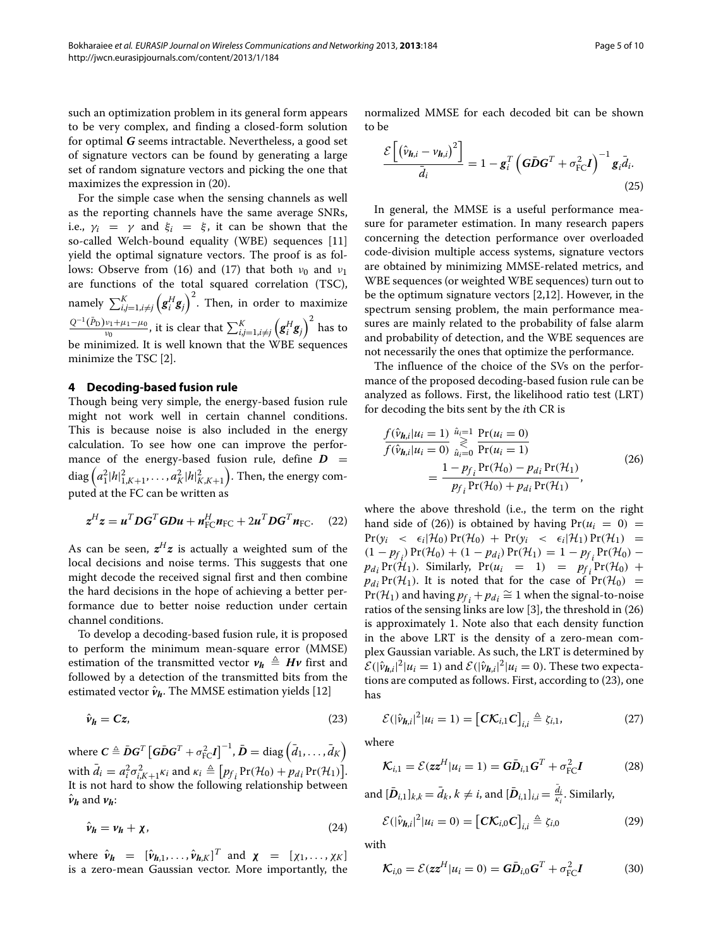such an optimization problem in its general form appears to be very complex, and finding a closed-form solution for optimal *G* seems intractable. Nevertheless, a good set of signature vectors can be found by generating a large set of random signature vectors and picking the one that maximizes the expression in [\(20\)](#page-3-3).

For the simple case when the sensing channels as well as the reporting channels have the same average SNRs, i.e.,  $\gamma_i = \gamma$  and  $\xi_i = \xi$ , it can be shown that the so-called Welch-bound equality (WBE) sequences [\[11\]](#page-9-8) yield the optimal signature vectors. The proof is as fol-lows: Observe from [\(16\)](#page-3-4) and [\(17\)](#page-3-5) that both  $v_0$  and  $v_1$ are functions of the total squared correlation (TSC), namely  $\sum_{i,j=1, i\neq j}^K \left(\mathbf{g}_i^H\mathbf{g}_j\right)^2$ . Then, in order to maximize  $\frac{Q^{-1}(\bar{P}_{\rm D})v_1 + \mu_1 - \mu_0}{v_0}$ , it is clear that  $\sum_{i,j=1, i\neq j}^{K}\left({\bm g}_i^H{\bm g}_j\right)^2$  has to be minimized. It is well known that the WBE sequences minimize the TSC [\[2\]](#page-9-1).

#### <span id="page-4-0"></span>**4 Decoding-based fusion rule**

Though being very simple, the energy-based fusion rule might not work well in certain channel conditions. This is because noise is also included in the energy calculation. To see how one can improve the performance of the energy-based fusion rule, define  $D =$  $\text{diag}\left(a_1^2|h|_{1,K+1}^2,\ldots,a_K^2|h|_{K,K+1}^2\right)$  . Then, the energy computed at the FC can be written as

$$
z^H z = u^T D G^T G D u + n_{\text{FC}}^H n_{\text{FC}} + 2 u^T D G^T n_{\text{FC}}.
$$
 (22)

As can be seen,  $z^H z$  is actually a weighted sum of the local decisions and noise terms. This suggests that one might decode the received signal first and then combine the hard decisions in the hope of achieving a better performance due to better noise reduction under certain channel conditions.

To develop a decoding-based fusion rule, it is proposed to perform the minimum mean-square error (MMSE) estimation of the transmitted vector  $v_h \triangleq Hv$  first and followed by a detection of the transmitted bits from the estimated vector  $\hat{v}_h$ . The MMSE estimation yields [\[12\]](#page-9-9)

$$
\hat{\nu}_h = Cz,\tag{23}
$$

 $\bm{w}$ here  $\bm{C} \triangleq \bar{\bm{D}} \bm{G}^T \left[ \bm{G} \bar{\bm{D}} \bm{G}^T + \sigma_\text{FC}^2 \bm{I} \right]^{-1}, \bar{\bm{D}} = \text{diag} \left( \bar{d}_1, \dots, \bar{d}_K \right)$ with  $\bar{d}_i = a_i^2 \sigma_{i,K+1}^2 \kappa_i$  and  $\kappa_i \triangleq [p_f P_i(\mathcal{H}_0) + p_{di} Pr(\mathcal{H}_1)].$ It is not hard to show the following relationship between  $\hat{\nu}_h$  and  $\nu_h$ :

$$
\hat{\nu}_h = \nu_h + \chi,\tag{24}
$$

where  $\hat{\mathbf{v}}_h = [\hat{\mathbf{v}}_{h,1}, \dots, \hat{\mathbf{v}}_{h,K}]^T$  and  $\boldsymbol{\chi} = [\chi_1, \dots, \chi_K]$ is a zero-mean Gaussian vector. More importantly, the normalized MMSE for each decoded bit can be shown to be

$$
\frac{\mathcal{E}\left[\left(\hat{v}_{h,i} - v_{h,i}\right)^2\right]}{\bar{d}_i} = 1 - \mathbf{g}_i^T \left(\mathbf{G}\bar{\mathbf{D}}\mathbf{G}^T + \sigma_{\text{FC}}^2 \mathbf{I}\right)^{-1} \mathbf{g}_i \bar{d}_i.
$$
\n(25)

In general, the MMSE is a useful performance measure for parameter estimation. In many research papers concerning the detection performance over overloaded code-division multiple access systems, signature vectors are obtained by minimizing MMSE-related metrics, and WBE sequences (or weighted WBE sequences) turn out to be the optimum signature vectors [\[2,](#page-9-1)[12\]](#page-9-9). However, in the spectrum sensing problem, the main performance measures are mainly related to the probability of false alarm and probability of detection, and the WBE sequences are not necessarily the ones that optimize the performance.

The influence of the choice of the SVs on the performance of the proposed decoding-based fusion rule can be analyzed as follows. First, the likelihood ratio test (LRT) for decoding the bits sent by the *i*th CR is

<span id="page-4-1"></span>
$$
\frac{f(\hat{v}_{h,i}|u_i=1)}{f(\hat{v}_{h,i}|u_i=0)} \mathop{\gtrless}\limits_{\hat{u}_i=0}^{\hat{u}_i=1} \frac{\Pr(u_i=0)}{\Pr(u_i=1)} \n= \frac{1 - p_{f_i} \Pr(\mathcal{H}_0) - p_{d_i} \Pr(\mathcal{H}_1)}{p_{f_i} \Pr(\mathcal{H}_0) + p_{d_i} \Pr(\mathcal{H}_1)},
$$
\n(26)

where the above threshold (i.e., the term on the right hand side of [\(26\)](#page-4-1)) is obtained by having  $Pr(u_i = 0)$  =  $\Pr(y_i \leq \epsilon_i | \mathcal{H}_0) \Pr(\mathcal{H}_0) + \Pr(y_i \leq \epsilon_i | \mathcal{H}_1) \Pr(\mathcal{H}_1) =$  $(1 - p_{f_i}) \Pr(\mathcal{H}_0) + (1 - p_{d_i}) \Pr(\mathcal{H}_1) = 1 - p_{f_i} \Pr(\mathcal{H}_0)$  $p_{di}$  Pr( $\mathcal{H}_1$ ). Similarly, Pr( $u_i = 1$ ) =  $p_f$ , Pr( $\mathcal{H}_0$ ) +  $p_{di}$  Pr(H<sub>1</sub>). It is noted that for the case of Pr(H<sub>0</sub>) =  $Pr(\mathcal{H}_1)$  and having  $p_f$ , +  $p_{d_i} \cong 1$  when the signal-to-noise ratios of the sensing links are low [\[3\]](#page-9-2), the threshold in [\(26\)](#page-4-1) is approximately 1. Note also that each density function in the above LRT is the density of a zero-mean complex Gaussian variable. As such, the LRT is determined by  $\mathcal{E}(|\hat{v}_{h,i}|^2|u_i=1)$  and  $\mathcal{E}(|\hat{v}_{h,i}|^2|u_i=0)$ . These two expectations are computed as follows. First, according to [\(23\)](#page-4-2), one has

$$
\mathcal{E}(|\hat{\nu}_{h,i}|^2 | u_i = 1) = [\mathbf{C}\mathcal{K}_{i,1}\mathbf{C}]_{i,i} \triangleq \zeta_{i,1},
$$
\n(27)

<span id="page-4-2"></span>where

$$
\mathcal{K}_{i,1} = \mathcal{E}(zz^H | u_i = 1) = G\bar{D}_{i,1}G^T + \sigma_{\rm FC}^2 I \tag{28}
$$

and  $[\bar{\textbf{D}}_{i,1}]_{k,k} = \bar{d}_k$ ,  $k \neq i$ , and  $[\bar{\textbf{D}}_{i,1}]_{i,i} = \frac{d_i}{\kappa_i}$ . Similarly,

$$
\mathcal{E}(|\hat{\nu}_{h,i}|^2|u_i=0) = \left[\mathbf{C}\mathbf{K}_{i,0}\mathbf{C}\right]_{i,i} \triangleq \zeta_{i,0} \tag{29}
$$

with

$$
\mathcal{K}_{i,0} = \mathcal{E}(zz^H | u_i = 0) = G\bar{D}_{i,0}G^T + \sigma_{\rm FC}^2 I \tag{30}
$$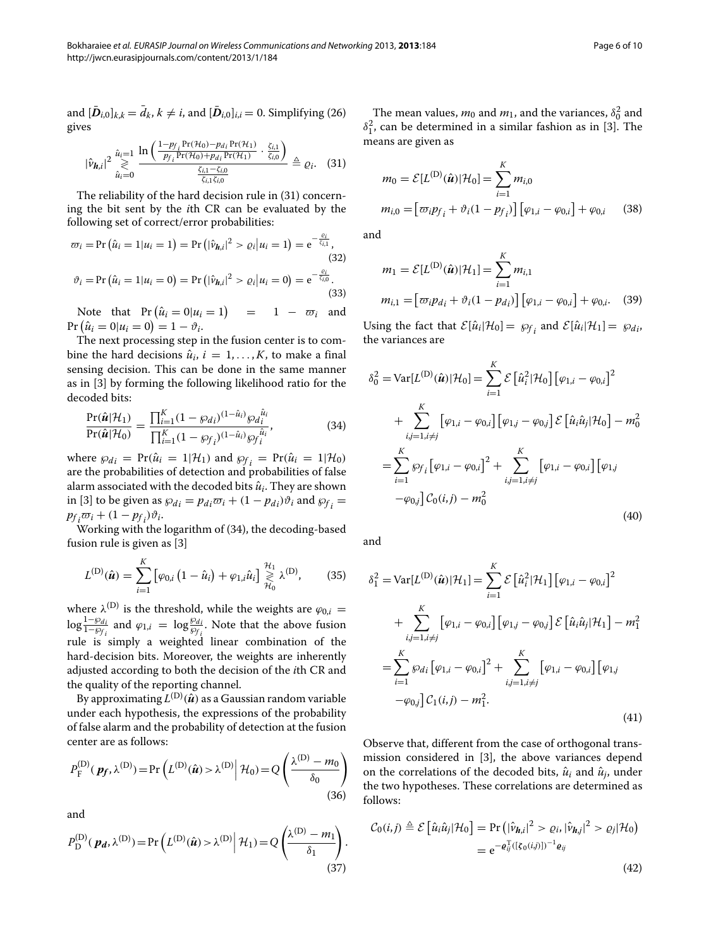and  $[D_{i,0}]_{k,k} = d_k, k \neq i$ , and  $[D_{i,0}]_{i,i} = 0$ . Simplifying [\(26\)](#page-4-1) gives

<span id="page-5-0"></span>
$$
|\hat{\nu}_{\boldsymbol{h},i}|^2 \underset{\hat{u}_i=0}{\overset{\hat{u}_i=1}{\gtrless}} \frac{\ln\left(\frac{1-p_{f_i}Pr(\mathcal{H}_0)-p_{di}Pr(\mathcal{H}_1)}{p_{f_i}Pr(\mathcal{H}_0)+p_{di}Pr(\mathcal{H}_1)}\cdot\frac{\zeta_{i,1}}{\zeta_{i,0}}\right)}{\frac{\zeta_{i,1}-\zeta_{i,0}}{\zeta_{i,1}\zeta_{i,0}}}\triangleq \varrho_i. \quad (31)
$$

The reliability of the hard decision rule in [\(31\)](#page-5-0) concerning the bit sent by the *i*th CR can be evaluated by the following set of correct/error probabilities:

$$
\varpi_i = \Pr\left(\hat{u}_i = 1 | u_i = 1\right) = \Pr\left(|\hat{v}_{\mathbf{h},i}|^2 > \varrho_i | u_i = 1\right) = e^{-\frac{\varrho_i}{\zeta_{i,1}}},\tag{32}
$$
\n
$$
\vartheta_i = \Pr\left(\hat{u}_i = 1 | u_i = 0\right) = \Pr\left(|\hat{v}_{\mathbf{h},i}|^2 > \varrho_i | u_i = 0\right) = e^{-\frac{\varrho_i}{\zeta_{i,0}}}. \tag{32}
$$

(33)   
Note that 
$$
Pr(\hat{u}_i = 0 | u_i = 1)
$$
 = 1 -  $\overline{\sigma_i}$  and

Note that  $Pr(\hat{u}_i = 0 | u_i = 1)$  $)$  = 1 –  $\varpi_i$  and  $Pr(\hat{u}_i = 0 | u_i = 0) = 1 - \vartheta_i.$ 

The next processing step in the fusion center is to combine the hard decisions  $\hat{u}_i$ ,  $i = 1, \ldots, K$ , to make a final sensing decision. This can be done in the same manner as in [\[3\]](#page-9-2) by forming the following likelihood ratio for the decoded bits:

<span id="page-5-1"></span>
$$
\frac{\Pr(\hat{\mathbf{u}}|\mathcal{H}_1)}{\Pr(\hat{\mathbf{u}}|\mathcal{H}_0)} = \frac{\prod_{i=1}^{K} (1 - \wp_{di})^{(1 - \hat{u}_i)} \wp_d_{i}^{\hat{u}_i}}{\prod_{i=1}^{K} (1 - \wp_{f_i})^{(1 - \hat{u}_i)} \wp_f_{i}^{\hat{u}_i}},
$$
(34)

where  $\wp_{di} = \Pr(\hat{u}_i = 1 | \mathcal{H}_1)$  and  $\wp_{f_i} = \Pr(\hat{u}_i = 1 | \mathcal{H}_0)$ are the probabilities of detection and probabilities of false alarm associated with the decoded bits  $\hat{u}_i$ . They are shown in [\[3\]](#page-9-2) to be given as  $\wp_{di} = p_{di}\varpi_i + (1 - p_{di})\vartheta_i$  and  $\wp_{f_i} =$  $p_f$ <sub>*i*</sub> $\varpi_i + (1 - p_f) \vartheta_i$ .

Working with the logarithm of [\(34\)](#page-5-1), the decoding-based fusion rule is given as [\[3\]](#page-9-2)

$$
L^{(\text{D})}(\hat{\boldsymbol{u}}) = \sum_{i=1}^{K} \left[ \varphi_{0,i} \left( 1 - \hat{u}_i \right) + \varphi_{1,i} \hat{u}_i \right] \underset{\mathcal{H}_0}{\geq} \lambda^{(\text{D})}, \quad (35)
$$

where  $\lambda^{(D)}$  is the threshold, while the weights are  $\varphi_{0,i}$  =  $\log \frac{1-\omega_{di}}{1-\omega_{fi}}$  and  $\varphi_{1,i} = \log \frac{\omega_{di}}{\omega_{fi}}$ . Note that the above fusion rule is simply a weighted linear combination of the hard-decision bits. Moreover, the weights are inherently adjusted according to both the decision of the *i*th CR and the quality of the reporting channel.

By approximating  $L^{(D)}(\hat{u})$  as a Gaussian random variable under each hypothesis, the expressions of the probability of false alarm and the probability of detection at the fusion center are as follows:

$$
P_{\mathcal{F}}^{(\mathcal{D})}(\mathbf{p_f}, \lambda^{(\mathcal{D})}) = \Pr\left(L^{(\mathcal{D})}(\hat{\mathbf{u}}) > \lambda^{(\mathcal{D})} \middle| \mathcal{H}_0\right) = Q\left(\frac{\lambda^{(\mathcal{D})} - m_0}{\delta_0}\right) \tag{36}
$$

and

$$
P_{\mathcal{D}}^{(\mathcal{D})}(\boldsymbol{p_d}, \lambda^{(\mathcal{D})}) = \Pr\left(L^{(\mathcal{D})}(\hat{\boldsymbol{u}}) > \lambda^{(\mathcal{D})} \middle| \mathcal{H}_1\right) = Q\left(\frac{\lambda^{(\mathcal{D})} - m_1}{\delta_1}\right) \tag{37}
$$

The mean values,  $m_0$  and  $m_1$ , and the variances,  $\delta_0^2$  and  $\delta_1^2$ , can be determined in a similar fashion as in [\[3\]](#page-9-2). The means are given as

$$
m_0 = \mathcal{E}[L^{(D)}(\hat{u})|\mathcal{H}_0] = \sum_{i=1}^K m_{i,0}
$$
  

$$
m_{i,0} = [\varpi_i p_{f_i} + \vartheta_i (1 - p_{f_i})] [\varphi_{1,i} - \varphi_{0,i}] + \varphi_{0,i} \qquad (38)
$$

and

$$
m_1 = \mathcal{E}[L^{(D)}(\hat{\mathbf{u}})|\mathcal{H}_1] = \sum_{i=1}^{K} m_{i,1}
$$
  

$$
m_{i,1} = [\varpi_i p_{di} + \vartheta_i (1 - p_{di})] [\varphi_{1,i} - \varphi_{0,i}] + \varphi_{0,i}.
$$
 (39)

Using the fact that  $\mathcal{E}[\hat{u}_i|\mathcal{H}_0] = \wp_{f_i}$  and  $\mathcal{E}[\hat{u}_i|\mathcal{H}_1] = \wp_{d_i}$ , the variances are

$$
\delta_0^2 = \text{Var}[L^{(D)}(\hat{\mathbf{u}})|\mathcal{H}_0] = \sum_{i=1}^K \mathcal{E} [\hat{u}_i^2 | \mathcal{H}_0] [\varphi_{1,i} - \varphi_{0,i}]^2 \n+ \sum_{i,j=1, i \neq j}^K [\varphi_{1,i} - \varphi_{0,i}] [\varphi_{1,j} - \varphi_{0,j}] \mathcal{E} [\hat{u}_i \hat{u}_j | \mathcal{H}_0] - m_0^2 \n= \sum_{i=1}^K \wp_{f_i} [\varphi_{1,i} - \varphi_{0,i}]^2 + \sum_{i,j=1, i \neq j}^K [\varphi_{1,i} - \varphi_{0,i}] [\varphi_{1,j} \n- \varphi_{0,j}] C_0(i,j) - m_0^2
$$
\n(40)

and

<span id="page-5-3"></span>.

$$
\delta_1^2 = \text{Var}[L^{(D)}(\hat{\mathbf{u}})|\mathcal{H}_1] = \sum_{i=1}^K \mathcal{E} [\hat{u}_i^2|\mathcal{H}_1] [\varphi_{1,i} - \varphi_{0,i}]^2 \n+ \sum_{i,j=1, i \neq j}^K [\varphi_{1,i} - \varphi_{0,i}] [\varphi_{1,j} - \varphi_{0,j}] \mathcal{E} [\hat{u}_i \hat{u}_j|\mathcal{H}_1] - m_1^2 \n= \sum_{i=1}^K \varphi_{di} [\varphi_{1,i} - \varphi_{0,i}]^2 + \sum_{i,j=1, i \neq j}^K [\varphi_{1,i} - \varphi_{0,i}] [\varphi_{1,j} \n- \varphi_{0,j}] \mathcal{C}_1(i,j) - m_1^2.
$$
\n(41)

Observe that, different from the case of orthogonal transmission considered in [\[3\]](#page-9-2), the above variances depend on the correlations of the decoded bits,  $\hat{u}_i$  and  $\hat{u}_j$ , under the two hypotheses. These correlations are determined as follows:

<span id="page-5-2"></span>
$$
\mathcal{C}_0(i,j) \triangleq \mathcal{E}\left[\hat{u}_i\hat{u}_j|\mathcal{H}_0\right] = \Pr\left(|\hat{v}_{\boldsymbol{h},i}|^2 > \varrho_i, |\hat{v}_{\boldsymbol{h},j}|^2 > \varrho_j|\mathcal{H}_0\right)
$$

$$
= e^{-\varrho_{ij}^{\mathrm{T}}([\zeta_0(i,j)])^{-1}\varrho_{ij}}
$$
(42)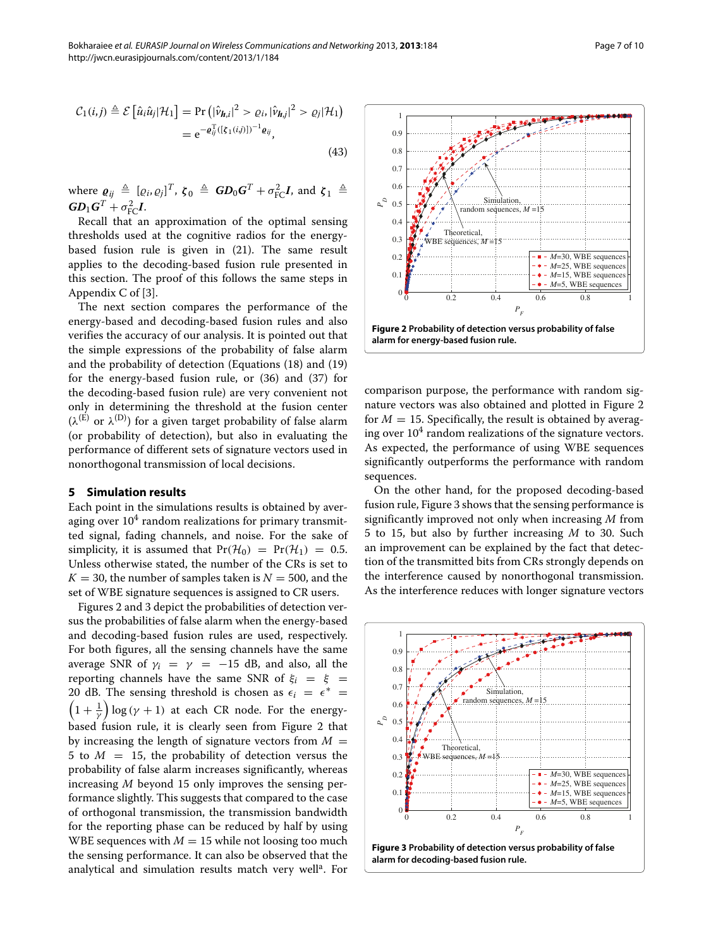$$
\mathcal{C}_1(i,j) \triangleq \mathcal{E}\left[\hat{u}_i\hat{u}_j|\mathcal{H}_1\right] = \Pr\left(|\hat{v}_{\boldsymbol{h},i}|^2 > \varrho_i, |\hat{v}_{\boldsymbol{h},j}|^2 > \varrho_j|\mathcal{H}_1\right)
$$

$$
= e^{-\varrho_{ij}^{\mathrm{T}}([{\xi}_1(i,j)])^{-1}\varrho_{ij}}, \tag{43}
$$

where  $\boldsymbol{\varrho}_{ij} \triangleq [\varrho_i, \varrho_j]^T$ ,  $\boldsymbol{\zeta}_0 \triangleq \boldsymbol{G} \boldsymbol{D}_0 \boldsymbol{G}^T + \sigma_{\text{FC}}^2 \boldsymbol{I}$ , and  $\boldsymbol{\zeta}_1 \triangleq$  $G\!D_1G^T + \sigma_{\text{FC}}^2I$ .

Recall that an approximation of the optimal sensing thresholds used at the cognitive radios for the energybased fusion rule is given in [\(21\)](#page-3-6). The same result applies to the decoding-based fusion rule presented in this section. The proof of this follows the same steps in Appendix C of [\[3\]](#page-9-2).

The next section compares the performance of the energy-based and decoding-based fusion rules and also verifies the accuracy of our analysis. It is pointed out that the simple expressions of the probability of false alarm and the probability of detection (Equations [\(18\)](#page-3-1) and [\(19\)](#page-3-2) for the energy-based fusion rule, or [\(36\)](#page-5-2) and [\(37\)](#page-5-3) for the decoding-based fusion rule) are very convenient not only in determining the threshold at the fusion center  $(\lambda^{(E)}$  or  $\lambda^{(D)}$ ) for a given target probability of false alarm (or probability of detection), but also in evaluating the performance of different sets of signature vectors used in nonorthogonal transmission of local decisions.

#### <span id="page-6-0"></span>**5 Simulation results**

Each point in the simulations results is obtained by averaging over  $10<sup>4</sup>$  random realizations for primary transmitted signal, fading channels, and noise. For the sake of simplicity, it is assumed that  $Pr(\mathcal{H}_0) = Pr(\mathcal{H}_1) = 0.5$ . Unless otherwise stated, the number of the CRs is set to  $K = 30$ , the number of samples taken is  $N = 500$ , and the set of WBE signature sequences is assigned to CR users.

Figures [2](#page-6-1) and [3](#page-6-2) depict the probabilities of detection versus the probabilities of false alarm when the energy-based and decoding-based fusion rules are used, respectively. For both figures, all the sensing channels have the same average SNR of  $\gamma_i = \gamma = -15$  dB, and also, all the reporting channels have the same SNR of  $\xi_i = \xi$ 20 dB. The sensing threshold is chosen as  $\epsilon_i = \epsilon^*$  =  $(1 + \frac{1}{\gamma}) \log (\gamma + 1)$  at each CR node. For the energybased fusion rule, it is clearly seen from Figure [2](#page-6-1) that by increasing the length of signature vectors from  $M =$ 5 to  $M = 15$ , the probability of detection versus the probability of false alarm increases significantly, whereas increasing *M* beyond 15 only improves the sensing performance slightly. This suggests that compared to the case of orthogonal transmission, the transmission bandwidth for the reporting phase can be reduced by half by using WBE sequences with  $M = 15$  while not loosing too much the sensing performance. It can also be observed that the analytical and simulation results match very well<sup>a</sup>. For



<span id="page-6-1"></span>comparison purpose, the performance with random signature vectors was also obtained and plotted in Figure [2](#page-6-1) for  $M = 15$ . Specifically, the result is obtained by averaging over  $10<sup>4</sup>$  random realizations of the signature vectors. As expected, the performance of using WBE sequences significantly outperforms the performance with random sequences.

On the other hand, for the proposed decoding-based fusion rule, Figure [3](#page-6-2) shows that the sensing performance is significantly improved not only when increasing *M* from 5 to 15, but also by further increasing *M* to 30. Such an improvement can be explained by the fact that detection of the transmitted bits from CRs strongly depends on the interference caused by nonorthogonal transmission. As the interference reduces with longer signature vectors

<span id="page-6-2"></span>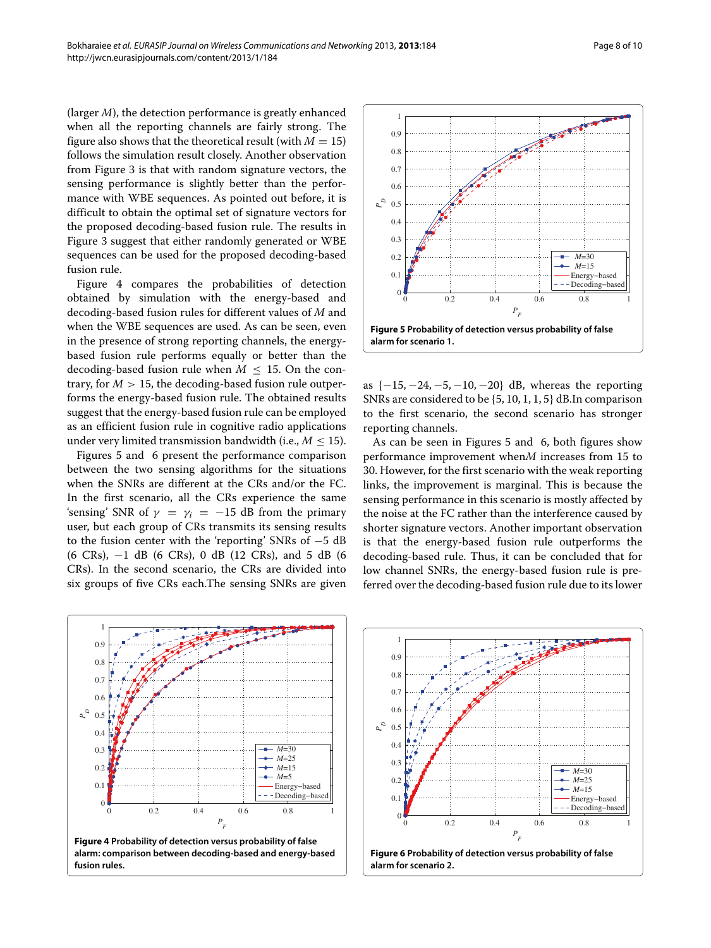(larger *M*), the detection performance is greatly enhanced when all the reporting channels are fairly strong. The figure also shows that the theoretical result (with  $M = 15$ ) follows the simulation result closely. Another observation from Figure [3](#page-6-2) is that with random signature vectors, the sensing performance is slightly better than the performance with WBE sequences. As pointed out before, it is difficult to obtain the optimal set of signature vectors for the proposed decoding-based fusion rule. The results in Figure [3](#page-6-2) suggest that either randomly generated or WBE sequences can be used for the proposed decoding-based fusion rule.

Figure [4](#page-7-0) compares the probabilities of detection obtained by simulation with the energy-based and decoding-based fusion rules for different values of *M* and when the WBE sequences are used. As can be seen, even in the presence of strong reporting channels, the energybased fusion rule performs equally or better than the decoding-based fusion rule when  $M \leq 15$ . On the contrary, for  $M > 15$ , the decoding-based fusion rule outperforms the energy-based fusion rule. The obtained results suggest that the energy-based fusion rule can be employed as an efficient fusion rule in cognitive radio applications under very limited transmission bandwidth (i.e.,  $M \leq 15$ ).

Figures [5](#page-7-1) and [6](#page-7-2) present the performance comparison between the two sensing algorithms for the situations when the SNRs are different at the CRs and/or the FC. In the first scenario, all the CRs experience the same 'sensing' SNR of  $\gamma = \gamma_i = -15$  dB from the primary user, but each group of CRs transmits its sensing results to the fusion center with the 'reporting' SNRs of −5 dB (6 CRs), −1 dB (6 CRs), 0 dB (12 CRs), and 5 dB (6 CRs). In the second scenario, the CRs are divided into six groups of five CRs each.The sensing SNRs are given



<span id="page-7-1"></span>as {−15, −24, −5, −10, −20} dB, whereas the reporting SNRs are considered to be {5, 10, 1, 1, 5} dB.In comparison to the first scenario, the second scenario has stronger reporting channels.

As can be seen in Figures [5](#page-7-1) and [6,](#page-7-2) both figures show performance improvement when*M* increases from 15 to 30. However, for the first scenario with the weak reporting links, the improvement is marginal. This is because the sensing performance in this scenario is mostly affected by the noise at the FC rather than the interference caused by shorter signature vectors. Another important observation is that the energy-based fusion rule outperforms the decoding-based rule. Thus, it can be concluded that for low channel SNRs, the energy-based fusion rule is preferred over the decoding-based fusion rule due to its lower

<span id="page-7-0"></span>

<span id="page-7-2"></span>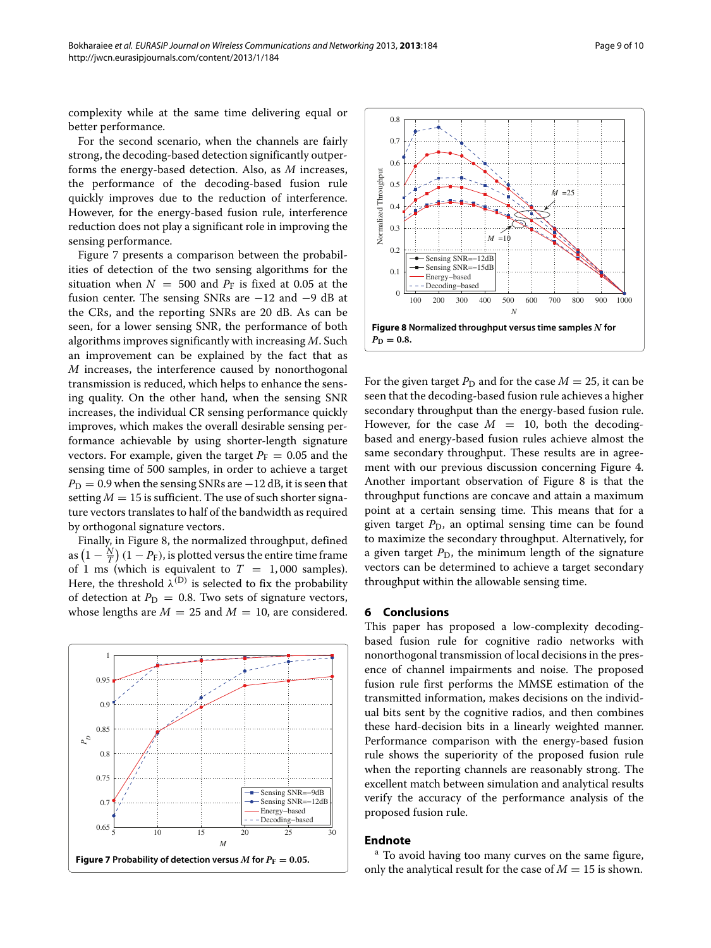For the second scenario, when the channels are fairly strong, the decoding-based detection significantly outperforms the energy-based detection. Also, as *M* increases, the performance of the decoding-based fusion rule quickly improves due to the reduction of interference. However, for the energy-based fusion rule, interference reduction does not play a significant role in improving the sensing performance.

Figure [7](#page-8-1) presents a comparison between the probabilities of detection of the two sensing algorithms for the situation when  $N = 500$  and  $P_F$  is fixed at 0.05 at the fusion center. The sensing SNRs are −12 and −9 dB at the CRs, and the reporting SNRs are 20 dB. As can be seen, for a lower sensing SNR, the performance of both algorithms improves significantly with increasing *M*. Such an improvement can be explained by the fact that as *M* increases, the interference caused by nonorthogonal transmission is reduced, which helps to enhance the sensing quality. On the other hand, when the sensing SNR increases, the individual CR sensing performance quickly improves, which makes the overall desirable sensing performance achievable by using shorter-length signature vectors. For example, given the target  $P_F = 0.05$  and the sensing time of 500 samples, in order to achieve a target  $P_D = 0.9$  when the sensing SNRs are  $-12$  dB, it is seen that setting  $M = 15$  is sufficient. The use of such shorter signature vectors translates to half of the bandwidth as required by orthogonal signature vectors.

Finally, in Figure [8,](#page-8-2) the normalized throughput, defined as  $\left(1-\frac{N}{T}\right)(1-P_\text{F})$ , is plotted versus the entire time frame of 1 ms (which is equivalent to  $T = 1,000$  samples). Here, the threshold  $\lambda^{(D)}$  is selected to fix the probability of detection at  $P_D = 0.8$ . Two sets of signature vectors, whose lengths are  $M = 25$  and  $M = 10$ , are considered.

<span id="page-8-1"></span>



<span id="page-8-2"></span>For the given target  $P_D$  and for the case  $M = 25$ , it can be seen that the decoding-based fusion rule achieves a higher secondary throughput than the energy-based fusion rule. However, for the case  $M = 10$ , both the decodingbased and energy-based fusion rules achieve almost the same secondary throughput. These results are in agreement with our previous discussion concerning Figure [4.](#page-7-0) Another important observation of Figure [8](#page-8-2) is that the throughput functions are concave and attain a maximum point at a certain sensing time. This means that for a given target  $P_D$ , an optimal sensing time can be found to maximize the secondary throughput. Alternatively, for a given target  $P_D$ , the minimum length of the signature vectors can be determined to achieve a target secondary throughput within the allowable sensing time.

#### <span id="page-8-0"></span>**6 Conclusions**

This paper has proposed a low-complexity decodingbased fusion rule for cognitive radio networks with nonorthogonal transmission of local decisions in the presence of channel impairments and noise. The proposed fusion rule first performs the MMSE estimation of the transmitted information, makes decisions on the individual bits sent by the cognitive radios, and then combines these hard-decision bits in a linearly weighted manner. Performance comparison with the energy-based fusion rule shows the superiority of the proposed fusion rule when the reporting channels are reasonably strong. The excellent match between simulation and analytical results verify the accuracy of the performance analysis of the proposed fusion rule.

## **Endnote**

<sup>a</sup> To avoid having too many curves on the same figure, only the analytical result for the case of  $M = 15$  is shown.